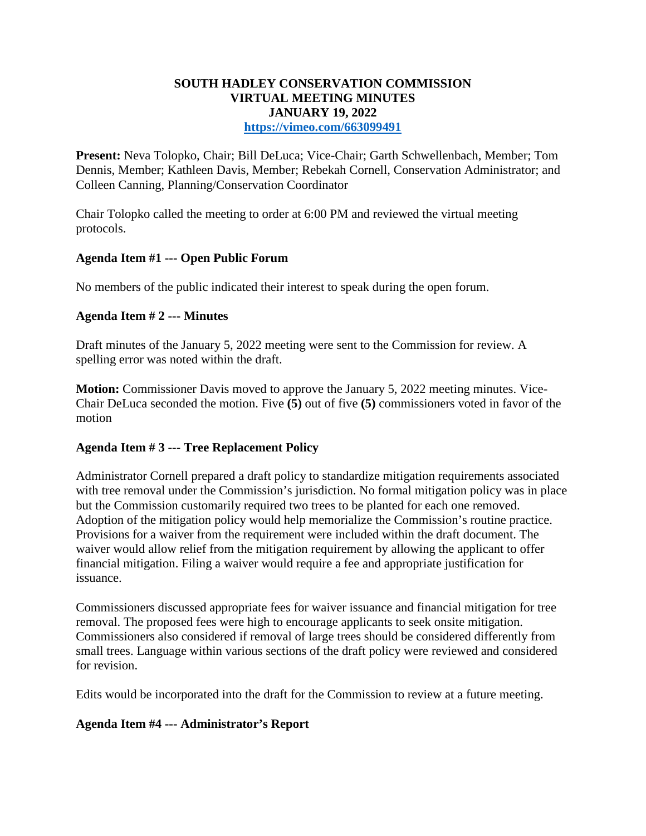### **SOUTH HADLEY CONSERVATION COMMISSION VIRTUAL MEETING MINUTES JANUARY 19, 2022 <https://vimeo.com/663099491>**

**Present:** Neva Tolopko, Chair; Bill DeLuca; Vice-Chair; Garth Schwellenbach, Member; Tom Dennis, Member; Kathleen Davis, Member; Rebekah Cornell, Conservation Administrator; and Colleen Canning, Planning/Conservation Coordinator

Chair Tolopko called the meeting to order at 6:00 PM and reviewed the virtual meeting protocols.

# **Agenda Item #1 --- Open Public Forum**

No members of the public indicated their interest to speak during the open forum.

#### **Agenda Item # 2 --- Minutes**

Draft minutes of the January 5, 2022 meeting were sent to the Commission for review. A spelling error was noted within the draft.

**Motion:** Commissioner Davis moved to approve the January 5, 2022 meeting minutes. Vice-Chair DeLuca seconded the motion. Five **(5)** out of five **(5)** commissioners voted in favor of the motion

#### **Agenda Item # 3 --- Tree Replacement Policy**

Administrator Cornell prepared a draft policy to standardize mitigation requirements associated with tree removal under the Commission's jurisdiction. No formal mitigation policy was in place but the Commission customarily required two trees to be planted for each one removed. Adoption of the mitigation policy would help memorialize the Commission's routine practice. Provisions for a waiver from the requirement were included within the draft document. The waiver would allow relief from the mitigation requirement by allowing the applicant to offer financial mitigation. Filing a waiver would require a fee and appropriate justification for issuance.

Commissioners discussed appropriate fees for waiver issuance and financial mitigation for tree removal. The proposed fees were high to encourage applicants to seek onsite mitigation. Commissioners also considered if removal of large trees should be considered differently from small trees. Language within various sections of the draft policy were reviewed and considered for revision.

Edits would be incorporated into the draft for the Commission to review at a future meeting.

#### **Agenda Item #4 --- Administrator's Report**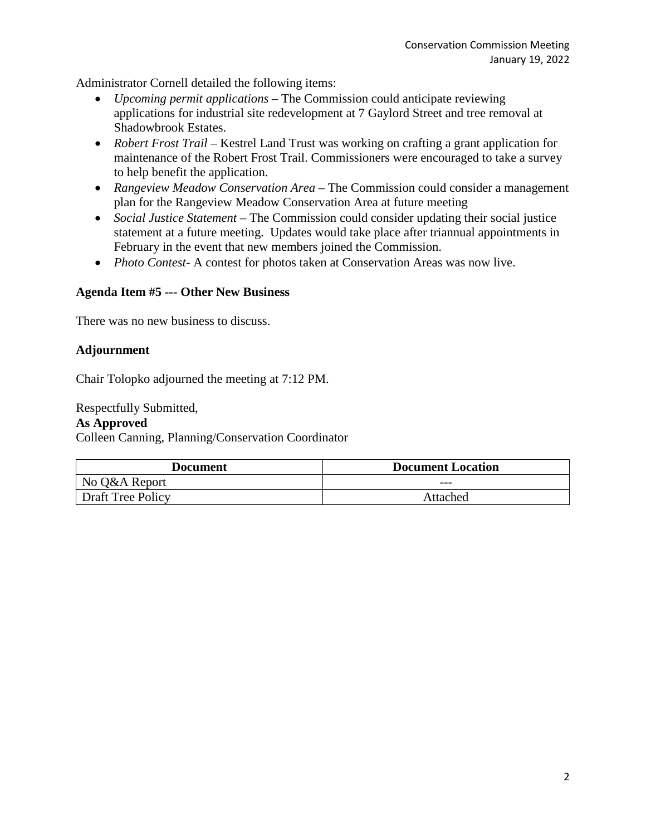Administrator Cornell detailed the following items:

- *Upcoming permit applications* The Commission could anticipate reviewing applications for industrial site redevelopment at 7 Gaylord Street and tree removal at Shadowbrook Estates.
- *Robert Frost Trail* Kestrel Land Trust was working on crafting a grant application for maintenance of the Robert Frost Trail. Commissioners were encouraged to take a survey to help benefit the application.
- *Rangeview Meadow Conservation Area* The Commission could consider a management plan for the Rangeview Meadow Conservation Area at future meeting
- *Social Justice Statement* The Commission could consider updating their social justice statement at a future meeting. Updates would take place after triannual appointments in February in the event that new members joined the Commission.
- *Photo Contest*-A contest for photos taken at Conservation Areas was now live.

#### **Agenda Item #5 --- Other New Business**

There was no new business to discuss.

#### **Adjournment**

Chair Tolopko adjourned the meeting at 7:12 PM.

Respectfully Submitted,

#### **As Approved**

Colleen Canning, Planning/Conservation Coordinator

| Document                 | <b>Document Location</b> |
|--------------------------|--------------------------|
| No Q&A Report            | $---$                    |
| <b>Draft Tree Policy</b> | Attached                 |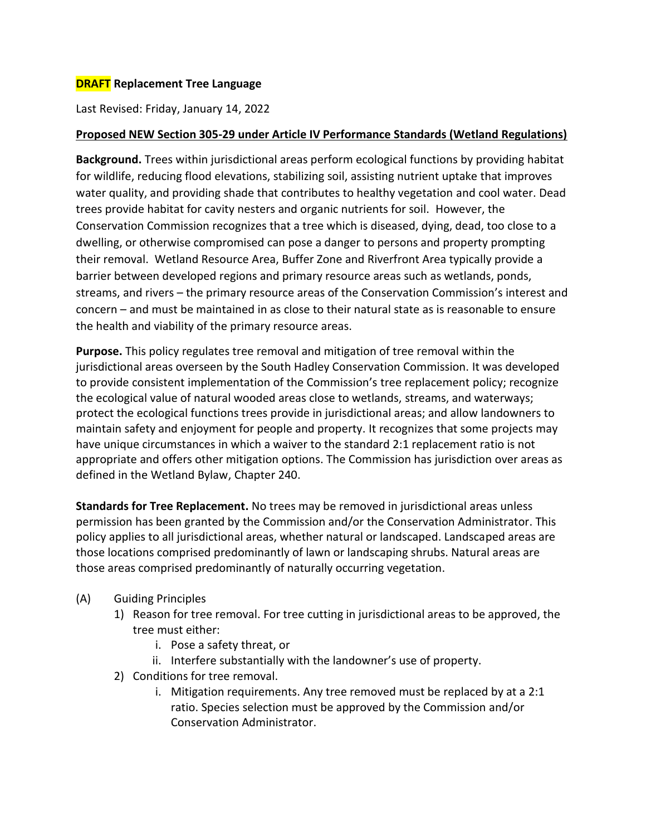## **DRAFT Replacement Tree Language**

Last Revised: Friday, January 14, 2022

#### **Proposed NEW Section 305-29 under Article IV Performance Standards (Wetland Regulations)**

**Background.** Trees within jurisdictional areas perform ecological functions by providing habitat for wildlife, reducing flood elevations, stabilizing soil, assisting nutrient uptake that improves water quality, and providing shade that contributes to healthy vegetation and cool water. Dead trees provide habitat for cavity nesters and organic nutrients for soil. However, the Conservation Commission recognizes that a tree which is diseased, dying, dead, too close to a dwelling, or otherwise compromised can pose a danger to persons and property prompting their removal. Wetland Resource Area, Buffer Zone and Riverfront Area typically provide a barrier between developed regions and primary resource areas such as wetlands, ponds, streams, and rivers – the primary resource areas of the Conservation Commission's interest and concern – and must be maintained in as close to their natural state as is reasonable to ensure the health and viability of the primary resource areas.

**Purpose.** This policy regulates tree removal and mitigation of tree removal within the jurisdictional areas overseen by the South Hadley Conservation Commission. It was developed to provide consistent implementation of the Commission's tree replacement policy; recognize the ecological value of natural wooded areas close to wetlands, streams, and waterways; protect the ecological functions trees provide in jurisdictional areas; and allow landowners to maintain safety and enjoyment for people and property. It recognizes that some projects may have unique circumstances in which a waiver to the standard 2:1 replacement ratio is not appropriate and offers other mitigation options. The Commission has jurisdiction over areas as defined in the Wetland Bylaw, Chapter 240.

**Standards for Tree Replacement.** No trees may be removed in jurisdictional areas unless permission has been granted by the Commission and/or the Conservation Administrator. This policy applies to all jurisdictional areas, whether natural or landscaped. Landscaped areas are those locations comprised predominantly of lawn or landscaping shrubs. Natural areas are those areas comprised predominantly of naturally occurring vegetation.

- (A) Guiding Principles
	- 1) Reason for tree removal. For tree cutting in jurisdictional areas to be approved, the tree must either:
		- i. Pose a safety threat, or
		- ii. Interfere substantially with the landowner's use of property.
	- 2) Conditions for tree removal.
		- i. Mitigation requirements. Any tree removed must be replaced by at a 2:1 ratio. Species selection must be approved by the Commission and/or Conservation Administrator.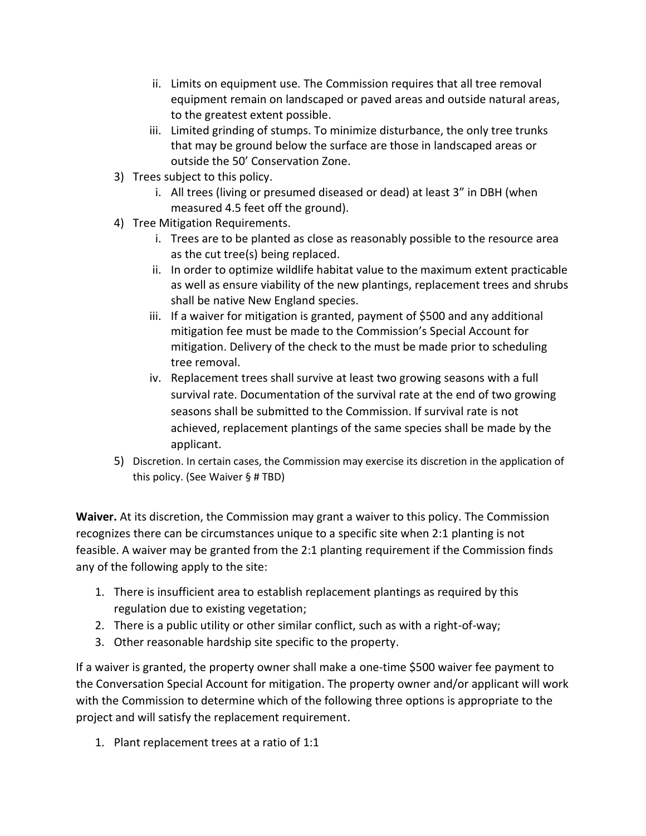- ii. Limits on equipment use. The Commission requires that all tree removal equipment remain on landscaped or paved areas and outside natural areas, to the greatest extent possible.
- iii. Limited grinding of stumps. To minimize disturbance, the only tree trunks that may be ground below the surface are those in landscaped areas or outside the 50' Conservation Zone.
- 3) Trees subject to this policy.
	- i. All trees (living or presumed diseased or dead) at least 3" in DBH (when measured 4.5 feet off the ground).
- 4) Tree Mitigation Requirements.
	- i. Trees are to be planted as close as reasonably possible to the resource area as the cut tree(s) being replaced.
	- ii. In order to optimize wildlife habitat value to the maximum extent practicable as well as ensure viability of the new plantings, replacement trees and shrubs shall be native New England species.
	- iii. If a waiver for mitigation is granted, payment of \$500 and any additional mitigation fee must be made to the Commission's Special Account for mitigation. Delivery of the check to the must be made prior to scheduling tree removal.
	- iv. Replacement trees shall survive at least two growing seasons with a full survival rate. Documentation of the survival rate at the end of two growing seasons shall be submitted to the Commission. If survival rate is not achieved, replacement plantings of the same species shall be made by the applicant.
- 5) Discretion. In certain cases, the Commission may exercise its discretion in the application of this policy. (See Waiver § # TBD)

**Waiver.** At its discretion, the Commission may grant a waiver to this policy. The Commission recognizes there can be circumstances unique to a specific site when 2:1 planting is not feasible. A waiver may be granted from the 2:1 planting requirement if the Commission finds any of the following apply to the site:

- 1. There is insufficient area to establish replacement plantings as required by this regulation due to existing vegetation;
- 2. There is a public utility or other similar conflict, such as with a right-of-way;
- 3. Other reasonable hardship site specific to the property.

If a waiver is granted, the property owner shall make a one-time \$500 waiver fee payment to the Conversation Special Account for mitigation. The property owner and/or applicant will work with the Commission to determine which of the following three options is appropriate to the project and will satisfy the replacement requirement.

1. Plant replacement trees at a ratio of 1:1